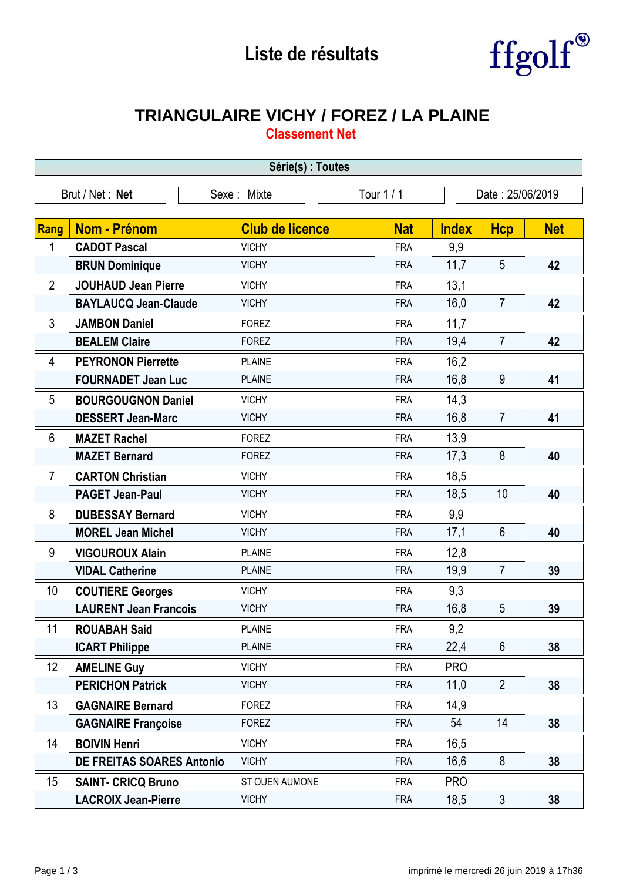## **Liste de résultats**



## **TRIANGULAIRE VICHY / FOREZ / LA PLAINE**

**Classement Net**

| Série(s) : Toutes |                                                                  |                        |            |              |                |            |  |
|-------------------|------------------------------------------------------------------|------------------------|------------|--------------|----------------|------------|--|
|                   | Tour 1 / 1<br>Brut / Net: Net<br>Date: 25/06/2019<br>Sexe: Mixte |                        |            |              |                |            |  |
|                   |                                                                  |                        |            |              |                |            |  |
| <b>Rang</b>       | <b>Nom - Prénom</b>                                              | <b>Club de licence</b> | <b>Nat</b> | <b>Index</b> | <b>Hcp</b>     | <b>Net</b> |  |
| 1                 | <b>CADOT Pascal</b>                                              | <b>VICHY</b>           | <b>FRA</b> | 9,9          |                |            |  |
|                   | <b>BRUN Dominique</b>                                            | <b>VICHY</b>           | <b>FRA</b> | 11,7         | 5              | 42         |  |
| $\overline{2}$    | <b>JOUHAUD Jean Pierre</b>                                       | <b>VICHY</b>           | <b>FRA</b> | 13,1         |                |            |  |
|                   | <b>BAYLAUCQ Jean-Claude</b>                                      | <b>VICHY</b>           | <b>FRA</b> | 16,0         | $\overline{7}$ | 42         |  |
| 3                 | <b>JAMBON Daniel</b>                                             | <b>FOREZ</b>           | <b>FRA</b> | 11,7         |                |            |  |
|                   | <b>BEALEM Claire</b>                                             | <b>FOREZ</b>           | <b>FRA</b> | 19,4         | $\overline{7}$ | 42         |  |
| 4                 | <b>PEYRONON Pierrette</b>                                        | <b>PLAINE</b>          | <b>FRA</b> | 16,2         |                |            |  |
|                   | <b>FOURNADET Jean Luc</b>                                        | <b>PLAINE</b>          | <b>FRA</b> | 16,8         | 9              | 41         |  |
| 5                 | <b>BOURGOUGNON Daniel</b>                                        | <b>VICHY</b>           | <b>FRA</b> | 14,3         |                |            |  |
|                   | <b>DESSERT Jean-Marc</b>                                         | <b>VICHY</b>           | <b>FRA</b> | 16,8         | $\overline{7}$ | 41         |  |
| $6\phantom{1}$    | <b>MAZET Rachel</b>                                              | <b>FOREZ</b>           | <b>FRA</b> | 13,9         |                |            |  |
|                   | <b>MAZET Bernard</b>                                             | <b>FOREZ</b>           | <b>FRA</b> | 17,3         | 8              | 40         |  |
| $\overline{7}$    | <b>CARTON Christian</b>                                          | <b>VICHY</b>           | <b>FRA</b> | 18,5         |                |            |  |
|                   | <b>PAGET Jean-Paul</b>                                           | <b>VICHY</b>           | <b>FRA</b> | 18,5         | 10             | 40         |  |
| 8                 | <b>DUBESSAY Bernard</b>                                          | <b>VICHY</b>           | <b>FRA</b> | 9,9          |                |            |  |
|                   | <b>MOREL Jean Michel</b>                                         | <b>VICHY</b>           | <b>FRA</b> | 17,1         | $6\phantom{1}$ | 40         |  |
| 9                 | <b>VIGOUROUX Alain</b>                                           | <b>PLAINE</b>          | <b>FRA</b> | 12,8         |                |            |  |
|                   | <b>VIDAL Catherine</b>                                           | <b>PLAINE</b>          | <b>FRA</b> | 19,9         | $\overline{7}$ | 39         |  |
| 10                | <b>COUTIERE Georges</b>                                          | <b>VICHY</b>           | <b>FRA</b> | 9,3          |                |            |  |
|                   | <b>LAURENT Jean Francois</b>                                     | <b>VICHY</b>           | <b>FRA</b> | 16,8         | 5              | 39         |  |
| 11                | <b>ROUABAH Said</b>                                              | <b>PLAINE</b>          | <b>FRA</b> | 9,2          |                |            |  |
|                   | <b>ICART Philippe</b>                                            | <b>PLAINE</b>          | <b>FRA</b> | 22,4         | $6\phantom{1}$ | 38         |  |
| 12 <sup>°</sup>   | <b>AMELINE Guy</b>                                               | <b>VICHY</b>           | <b>FRA</b> | <b>PRO</b>   |                |            |  |
|                   | <b>PERICHON Patrick</b>                                          | <b>VICHY</b>           | <b>FRA</b> | 11,0         | $\overline{2}$ | 38         |  |
| 13                | <b>GAGNAIRE Bernard</b>                                          | <b>FOREZ</b>           | <b>FRA</b> | 14,9         |                |            |  |
|                   | <b>GAGNAIRE Françoise</b>                                        | <b>FOREZ</b>           | <b>FRA</b> | 54           | 14             | 38         |  |
| 14                | <b>BOIVIN Henri</b>                                              | <b>VICHY</b>           | <b>FRA</b> | 16,5         |                |            |  |
|                   | <b>DE FREITAS SOARES Antonio</b>                                 | <b>VICHY</b>           | <b>FRA</b> | 16,6         | 8              | 38         |  |
| 15                | <b>SAINT- CRICQ Bruno</b>                                        | ST OUEN AUMONE         | <b>FRA</b> | <b>PRO</b>   |                |            |  |
|                   | <b>LACROIX Jean-Pierre</b>                                       | <b>VICHY</b>           | <b>FRA</b> | 18,5         | $\mathfrak{Z}$ | 38         |  |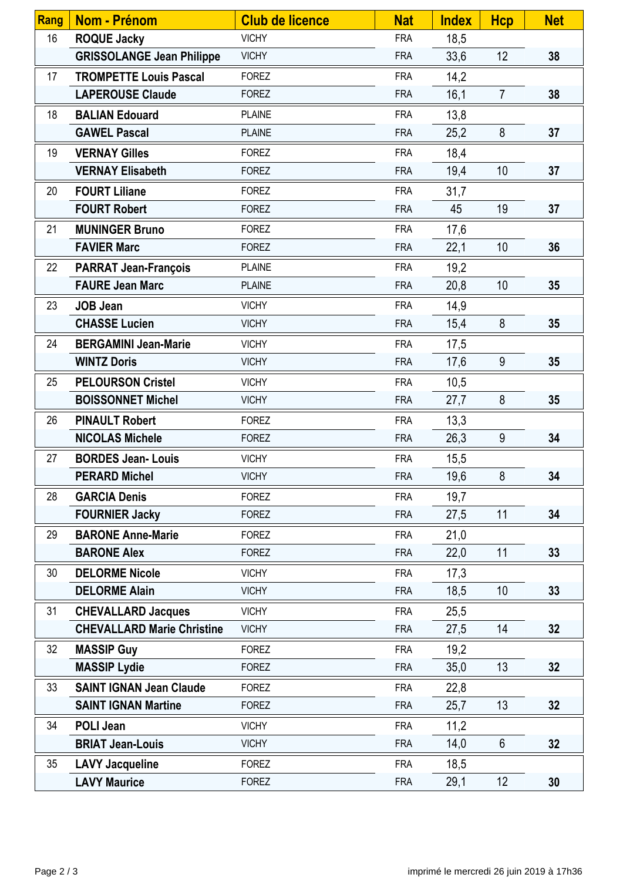| Rang | Nom - Prénom                      | <b>Club de licence</b> | <b>Nat</b> | <b>Index</b> | <b>Hcp</b>      | <b>Net</b> |
|------|-----------------------------------|------------------------|------------|--------------|-----------------|------------|
| 16   | <b>ROQUE Jacky</b>                | <b>VICHY</b>           | <b>FRA</b> | 18,5         |                 |            |
|      | <b>GRISSOLANGE Jean Philippe</b>  | <b>VICHY</b>           | <b>FRA</b> | 33,6         | 12              | 38         |
| 17   | <b>TROMPETTE Louis Pascal</b>     | <b>FOREZ</b>           | <b>FRA</b> | 14,2         |                 |            |
|      | <b>LAPEROUSE Claude</b>           | <b>FOREZ</b>           | <b>FRA</b> | 16,1         | $\overline{7}$  | 38         |
| 18   | <b>BALIAN Edouard</b>             | <b>PLAINE</b>          | <b>FRA</b> | 13,8         |                 |            |
|      | <b>GAWEL Pascal</b>               | <b>PLAINE</b>          | <b>FRA</b> | 25,2         | 8               | 37         |
| 19   | <b>VERNAY Gilles</b>              | <b>FOREZ</b>           | <b>FRA</b> | 18,4         |                 |            |
|      | <b>VERNAY Elisabeth</b>           | <b>FOREZ</b>           | <b>FRA</b> | 19,4         | 10              | 37         |
| 20   | <b>FOURT Liliane</b>              | <b>FOREZ</b>           | <b>FRA</b> | 31,7         |                 |            |
|      | <b>FOURT Robert</b>               | <b>FOREZ</b>           | <b>FRA</b> | 45           | 19              | 37         |
| 21   | <b>MUNINGER Bruno</b>             | <b>FOREZ</b>           | <b>FRA</b> | 17,6         |                 |            |
|      | <b>FAVIER Marc</b>                | <b>FOREZ</b>           | <b>FRA</b> | 22,1         | 10              | 36         |
| 22   | <b>PARRAT Jean-François</b>       | <b>PLAINE</b>          | <b>FRA</b> | 19,2         |                 |            |
|      | <b>FAURE Jean Marc</b>            | <b>PLAINE</b>          | <b>FRA</b> | 20,8         | 10              | 35         |
| 23   | <b>JOB Jean</b>                   | <b>VICHY</b>           | <b>FRA</b> | 14,9         |                 |            |
|      | <b>CHASSE Lucien</b>              | <b>VICHY</b>           | <b>FRA</b> | 15,4         | 8               | 35         |
| 24   | <b>BERGAMINI Jean-Marie</b>       | <b>VICHY</b>           | <b>FRA</b> | 17,5         |                 |            |
|      | <b>WINTZ Doris</b>                | <b>VICHY</b>           | <b>FRA</b> | 17,6         | 9               | 35         |
| 25   | <b>PELOURSON Cristel</b>          | <b>VICHY</b>           | <b>FRA</b> | 10,5         |                 |            |
|      | <b>BOISSONNET Michel</b>          | <b>VICHY</b>           | <b>FRA</b> | 27,7         | 8               | 35         |
| 26   | <b>PINAULT Robert</b>             | <b>FOREZ</b>           | <b>FRA</b> | 13,3         |                 |            |
|      | <b>NICOLAS Michele</b>            | <b>FOREZ</b>           | <b>FRA</b> | 26,3         | 9               | 34         |
| 27   | <b>BORDES Jean-Louis</b>          | <b>VICHY</b>           | <b>FRA</b> | 15,5         |                 |            |
|      | <b>PERARD Michel</b>              | <b>VICHY</b>           | <b>FRA</b> | 19,6         | 8               | 34         |
| 28   | <b>GARCIA Denis</b>               | <b>FOREZ</b>           | <b>FRA</b> | 19,7         |                 |            |
|      | <b>FOURNIER Jacky</b>             | <b>FOREZ</b>           | <b>FRA</b> | 27,5         | 11              | 34         |
| 29   | <b>BARONE Anne-Marie</b>          | <b>FOREZ</b>           | <b>FRA</b> | 21,0         |                 |            |
|      | <b>BARONE Alex</b>                | <b>FOREZ</b>           | <b>FRA</b> | 22,0         | 11              | 33         |
| 30   | <b>DELORME Nicole</b>             | <b>VICHY</b>           | <b>FRA</b> | 17,3         |                 |            |
|      | <b>DELORME Alain</b>              | <b>VICHY</b>           | <b>FRA</b> | 18,5         | 10 <sup>°</sup> | 33         |
| 31   | <b>CHEVALLARD Jacques</b>         | <b>VICHY</b>           | <b>FRA</b> | 25,5         |                 |            |
|      | <b>CHEVALLARD Marie Christine</b> | <b>VICHY</b>           | <b>FRA</b> | 27,5         | 14              | 32         |
| 32   | <b>MASSIP Guy</b>                 | <b>FOREZ</b>           | <b>FRA</b> | 19,2         |                 |            |
|      | <b>MASSIP Lydie</b>               | <b>FOREZ</b>           | <b>FRA</b> | 35,0         | 13              | 32         |
| 33   | <b>SAINT IGNAN Jean Claude</b>    | <b>FOREZ</b>           | <b>FRA</b> | 22,8         |                 |            |
|      | <b>SAINT IGNAN Martine</b>        | <b>FOREZ</b>           | <b>FRA</b> | 25,7         | 13              | 32         |
| 34   | <b>POLI Jean</b>                  | <b>VICHY</b>           | <b>FRA</b> | 11,2         |                 |            |
|      | <b>BRIAT Jean-Louis</b>           | <b>VICHY</b>           | <b>FRA</b> | 14,0         | $6\phantom{.}$  | 32         |
| 35   | <b>LAVY Jacqueline</b>            | <b>FOREZ</b>           | <b>FRA</b> | 18,5         |                 |            |
|      | <b>LAVY Maurice</b>               | <b>FOREZ</b>           | <b>FRA</b> | 29,1         | 12              | 30         |